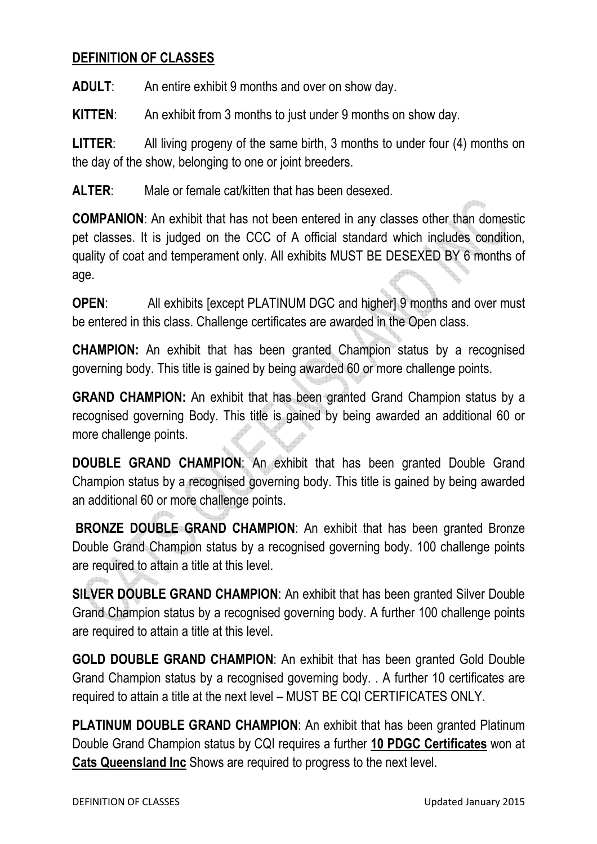## **DEFINITION OF CLASSES**

**ADULT**: An entire exhibit 9 months and over on show day.

**KITTEN**: An exhibit from 3 months to just under 9 months on show day.

**LITTER**: All living progeny of the same birth, 3 months to under four (4) months on the day of the show, belonging to one or joint breeders.

**ALTER**: Male or female cat/kitten that has been desexed.

**COMPANION**: An exhibit that has not been entered in any classes other than domestic pet classes. It is judged on the CCC of A official standard which includes condition, quality of coat and temperament only. All exhibits MUST BE DESEXED BY 6 months of age.

**OPEN:** All exhibits [except PLATINUM DGC and higher] 9 months and over must be entered in this class. Challenge certificates are awarded in the Open class.

**CHAMPION:** An exhibit that has been granted Champion status by a recognised governing body. This title is gained by being awarded 60 or more challenge points.

**GRAND CHAMPION:** An exhibit that has been granted Grand Champion status by a recognised governing Body. This title is gained by being awarded an additional 60 or more challenge points.

**DOUBLE GRAND CHAMPION**: An exhibit that has been granted Double Grand Champion status by a recognised governing body. This title is gained by being awarded an additional 60 or more challenge points.

**BRONZE DOUBLE GRAND CHAMPION**: An exhibit that has been granted Bronze Double Grand Champion status by a recognised governing body. 100 challenge points are required to attain a title at this level.

**SILVER DOUBLE GRAND CHAMPION**: An exhibit that has been granted Silver Double Grand Champion status by a recognised governing body. A further 100 challenge points are required to attain a title at this level.

**GOLD DOUBLE GRAND CHAMPION**: An exhibit that has been granted Gold Double Grand Champion status by a recognised governing body. . A further 10 certificates are required to attain a title at the next level – MUST BE CQI CERTIFICATES ONLY.

**PLATINUM DOUBLE GRAND CHAMPION:** An exhibit that has been granted Platinum Double Grand Champion status by CQI requires a further **10 PDGC Certificates** won at **Cats Queensland Inc** Shows are required to progress to the next level.